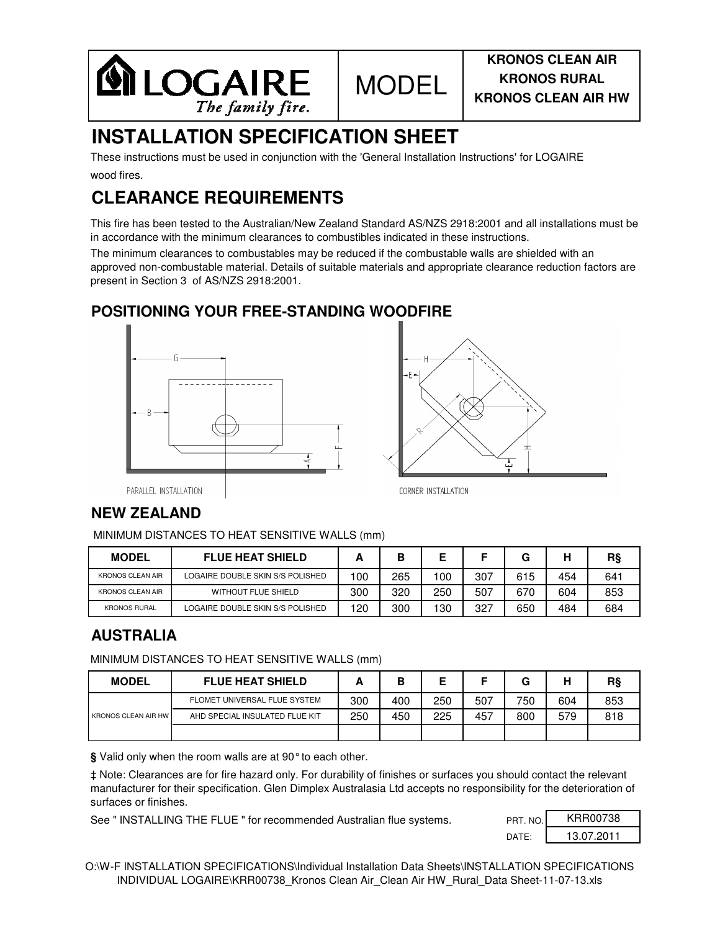

## **INSTALLATION SPECIFICATION SHEET**

wood fires. These instructions must be used in conjunction with the 'General Installation Instructions' for LOGAIRE

## **CLEARANCE REQUIREMENTS**

This fire has been tested to the Australian/New Zealand Standard AS/NZS 2918:2001 and all installations must be in accordance with the minimum clearances to combustibles indicated in these instructions.

The minimum clearances to combustables may be reduced if the combustable walls are shielded with an approved non-combustable material. Details of suitable materials and appropriate clearance reduction factors are present in Section 3 of AS/NZS 2918:2001.

#### **POSITIONING YOUR FREE-STANDING WOODFIRE**





PARALLEL INSTALLATION

### **NEW ZEALAND**

MINIMUM DISTANCES TO HEAT SENSITIVE WALLS (mm)

| <b>MODEL</b>            | <b>FLUE HEAT SHIELD</b>          |     | B   |     |     |     |     | R§  |
|-------------------------|----------------------------------|-----|-----|-----|-----|-----|-----|-----|
| <b>KRONOS CLEAN AIR</b> | LOGAIRE DOUBLE SKIN S/S POLISHED | 100 | 265 | 100 | 307 | 615 | 454 | 641 |
| <b>KRONOS CLEAN AIR</b> | <b>WITHOUT FLUE SHIELD</b>       | 300 | 320 | 250 | 507 | 670 | 604 | 853 |
| <b>KRONOS RURAL</b>     | LOGAIRE DOUBLE SKIN S/S POLISHED | 120 | 300 | 130 | 327 | 650 | 484 | 684 |

### **AUSTRALIA**

MINIMUM DISTANCES TO HEAT SENSITIVE WALLS (mm)

| <b>MODEL</b>               | <b>FLUE HEAT SHIELD</b>        |     | В   |     |     |     |     | R§  |
|----------------------------|--------------------------------|-----|-----|-----|-----|-----|-----|-----|
| <b>KRONOS CLEAN AIR HW</b> | FLOMET UNIVERSAL FLUE SYSTEM   | 300 | 400 | 250 | 507 | 750 | 604 | 853 |
|                            | AHD SPECIAL INSULATED FLUE KIT | 250 | 450 | 225 | 457 | 800 | 579 | 818 |
|                            |                                |     |     |     |     |     |     |     |

**§** Valid only when the room walls are at 90° to each other.

‡ Note: Clearances are for fire hazard only. For durability of finishes or surfaces you should contact the relevant manufacturer for their specification. Glen Dimplex Australasia Ltd accepts no responsibility for the deterioration of surfaces or finishes.

See " INSTALLING THE FLUE " for recommended Australian flue systems.

| PRT. NO.          | KRR00738   |
|-------------------|------------|
| DATF <sup>.</sup> | 13.07.2011 |

O:\W-F INSTALLATION SPECIFICATIONS\Individual Installation Data Sheets\INSTALLATION SPECIFICATIONS INDIVIDUAL LOGAIRE\KRR00738\_Kronos Clean Air\_Clean Air HW\_Rural\_Data Sheet-11-07-13.xls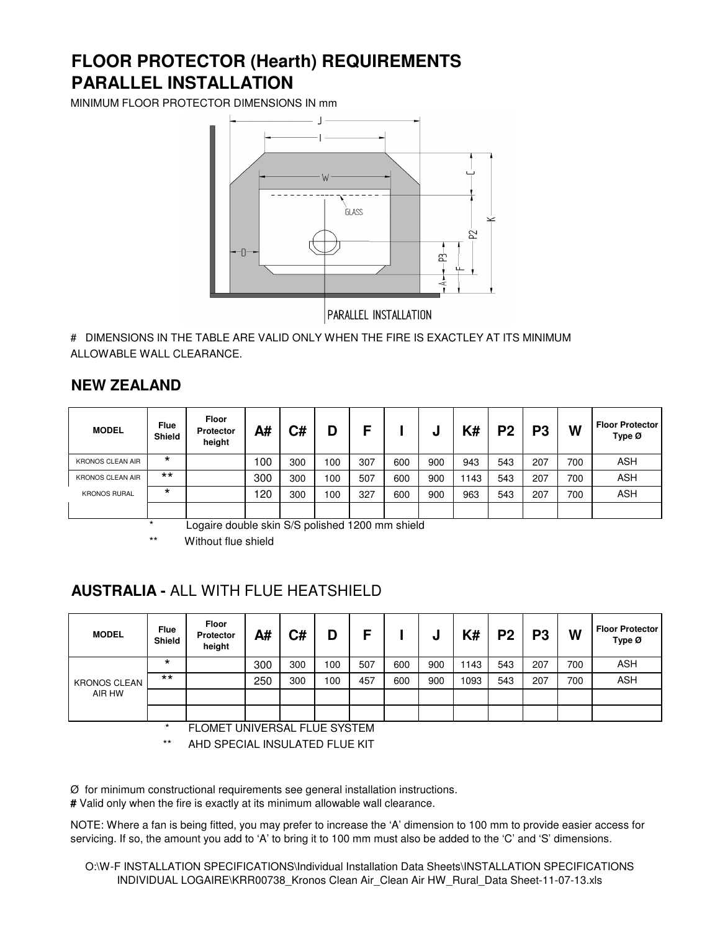## **PARALLEL INSTALLATION FLOOR PROTECTOR (Hearth) REQUIREMENTS**

MINIMUM FLOOR PROTECTOR DIMENSIONS IN mm



# DIMENSIONS IN THE TABLE ARE VALID ONLY WHEN THE FIRE IS EXACTLEY AT ITS MINIMUM ALLOWABLE WALL CLEARANCE.

#### **NEW ZEALAND**

| <b>MODEL</b>            | <b>Flue</b><br><b>Shield</b> | Floor<br>Protector<br>height | A#   | C#  |     | F   |     | u   | K#  | P <sub>2</sub> | D?  | W   | <b>Floor Protector</b><br>Type Ø |
|-------------------------|------------------------------|------------------------------|------|-----|-----|-----|-----|-----|-----|----------------|-----|-----|----------------------------------|
| <b>KRONOS CLEAN AIR</b> | $\star$                      |                              | 00 ا | 300 | 100 | 307 | 600 | 900 | 943 | 543            | 207 | 700 | ASH                              |
| <b>KRONOS CLEAN AIR</b> | $***$                        |                              | 300  | 300 | 100 | 507 | 600 | 900 | 143 | 543            | 207 | 700 | <b>ASH</b>                       |
| <b>KRONOS RURAL</b>     | $\star$                      |                              | 120  | 300 | 100 | 327 | 600 | 900 | 963 | 543            | 207 | 700 | <b>ASH</b>                       |
|                         |                              |                              |      |     |     |     |     |     |     |                |     |     |                                  |

Logaire double skin S/S polished 1200 mm shield

Without flue shield

## **AUSTRALIA -** ALL WITH FLUE HEATSHIELD

| <b>MODEL</b>        | <b>Flue</b><br><b>Shield</b> | Floor<br>Protector<br>height | A#  | C#  | D   | F   |     | υ   | K#   | P <sub>2</sub> | P <sub>3</sub> | W   | <b>Floor Protector</b><br>Type Ø |
|---------------------|------------------------------|------------------------------|-----|-----|-----|-----|-----|-----|------|----------------|----------------|-----|----------------------------------|
|                     | $\star$                      |                              | 300 | 300 | 100 | 507 | 600 | 900 | 143  | 543            | 207            | 700 | <b>ASH</b>                       |
| <b>KRONOS CLEAN</b> | $***$                        |                              | 250 | 300 | 100 | 457 | 600 | 900 | 1093 | 543            | 207            | 700 | <b>ASH</b>                       |
| AIR HW              |                              |                              |     |     |     |     |     |     |      |                |                |     |                                  |
|                     |                              |                              |     |     |     |     |     |     |      |                |                |     |                                  |

FLOMET UNIVERSAL FLUE SYSTEM

AHD SPECIAL INSULATED FLUE KIT

Ø for minimum constructional requirements see general installation instructions.

**#** Valid only when the fire is exactly at its minimum allowable wall clearance.

NOTE: Where a fan is being fitted, you may prefer to increase the 'A' dimension to 100 mm to provide easier access for servicing. If so, the amount you add to 'A' to bring it to 100 mm must also be added to the 'C' and 'S' dimensions.

O:\W-F INSTALLATION SPECIFICATIONS\Individual Installation Data Sheets\INSTALLATION SPECIFICATIONS INDIVIDUAL LOGAIRE\KRR00738\_Kronos Clean Air\_Clean Air HW\_Rural\_Data Sheet-11-07-13.xls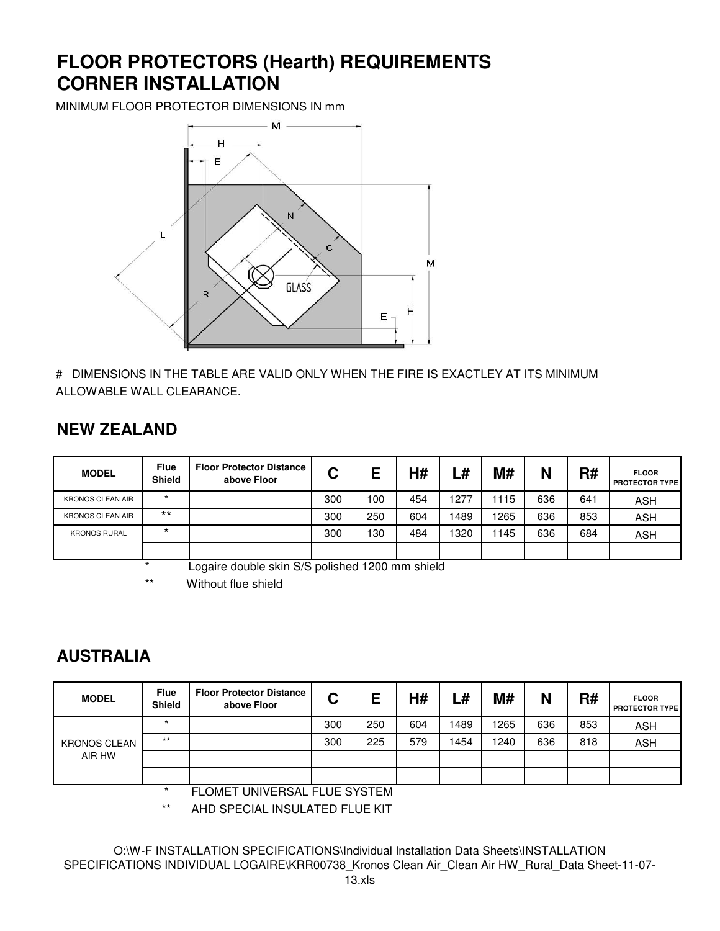## **FLOOR PROTECTORS (Hearth) REQUIREMENTS CORNER INSTALLATION**

MINIMUM FLOOR PROTECTOR DIMENSIONS IN mm



# DIMENSIONS IN THE TABLE ARE VALID ONLY WHEN THE FIRE IS EXACTLEY AT ITS MINIMUM ALLOWABLE WALL CLEARANCE.

## **NEW ZEALAND**

| <b>MODEL</b>            | <b>Flue</b><br><b>Shield</b>                               | <b>Floor Protector Distance</b><br>above Floor | C   | Е   | H#  | L#   | <b>M#</b> | N   | R#  | <b>FLOOR</b><br><b>PROTECTOR TYPE</b> |  |
|-------------------------|------------------------------------------------------------|------------------------------------------------|-----|-----|-----|------|-----------|-----|-----|---------------------------------------|--|
| <b>KRONOS CLEAN AIR</b> | $\star$                                                    |                                                | 300 | 100 | 454 | 1277 | 115       | 636 | 641 | ASH                                   |  |
| <b>KRONOS CLEAN AIR</b> | $***$                                                      |                                                | 300 | 250 | 604 | 1489 | 1265      | 636 | 853 | <b>ASH</b>                            |  |
| <b>KRONOS RURAL</b>     | $\star$                                                    |                                                | 300 | 130 | 484 | 1320 | 145       | 636 | 684 | <b>ASH</b>                            |  |
|                         |                                                            |                                                |     |     |     |      |           |     |     |                                       |  |
|                         | Logaire double skin S/S polished 1200 mm shield<br>$\star$ |                                                |     |     |     |      |           |     |     |                                       |  |

\*\* Without flue shield

## **AUSTRALIA**

| <b>MODEL</b>        | <b>Flue</b><br><b>Shield</b> | <b>Floor Protector Distance</b><br>above Floor | C   | Е   | H#  | L#   | M#   | N   | R#  | <b>FLOOR</b><br><b>PROTECTOR TYPE</b> |
|---------------------|------------------------------|------------------------------------------------|-----|-----|-----|------|------|-----|-----|---------------------------------------|
| <b>KRONOS CLEAN</b> | $\star$                      |                                                | 300 | 250 | 604 | 1489 | 1265 | 636 | 853 | <b>ASH</b>                            |
|                     | $***$                        |                                                | 300 | 225 | 579 | 1454 | 1240 | 636 | 818 | <b>ASH</b>                            |
| AIR HW              |                              |                                                |     |     |     |      |      |     |     |                                       |
|                     |                              |                                                |     |     |     |      |      |     |     |                                       |
|                     |                              | FLOMET UNIVERSAL FULLE OVSTEM                  |     |     |     |      |      |     |     |                                       |

FLOMET UNIVERSAL FLUE SYSTEM

\*\* AHD SPECIAL INSULATED FLUE KIT

O:\W-F INSTALLATION SPECIFICATIONS\Individual Installation Data Sheets\INSTALLATION SPECIFICATIONS INDIVIDUAL LOGAIRE\KRR00738\_Kronos Clean Air\_Clean Air HW\_Rural\_Data Sheet-11-07-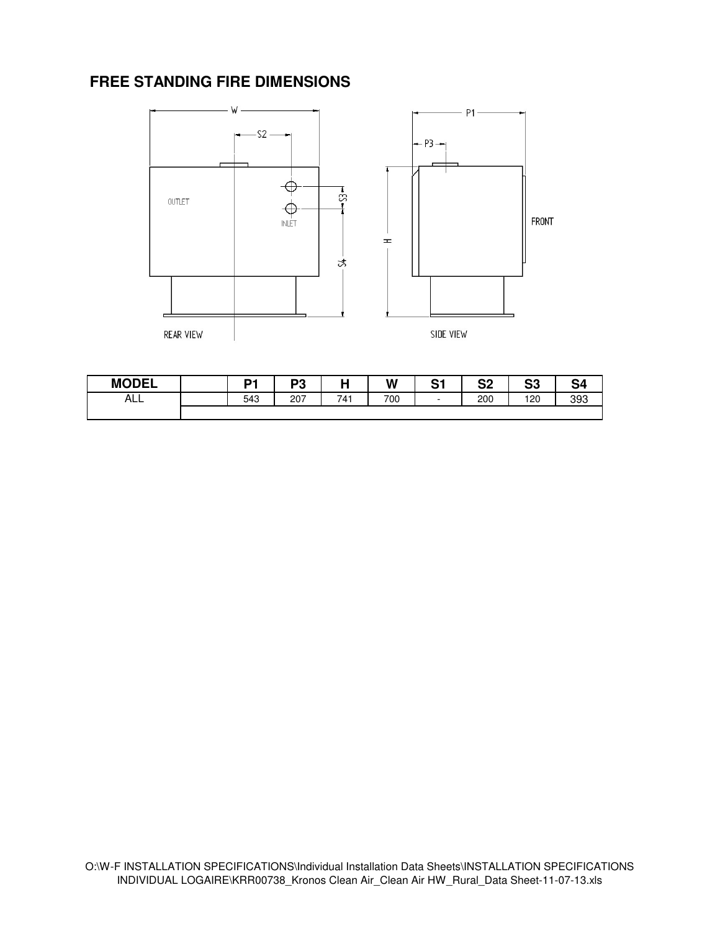## **FREE STANDING FIRE DIMENSIONS**



| <b>MODEL</b> | D4  | פם<br>دت∙ |     | W   | C-4<br>v. | n.<br>◡▵ | rn.<br>აა | 54  |
|--------------|-----|-----------|-----|-----|-----------|----------|-----------|-----|
| ALL          | 543 | 207       | 741 | 700 | -         | 200      | 120       | 393 |
|              |     |           |     |     |           |          |           |     |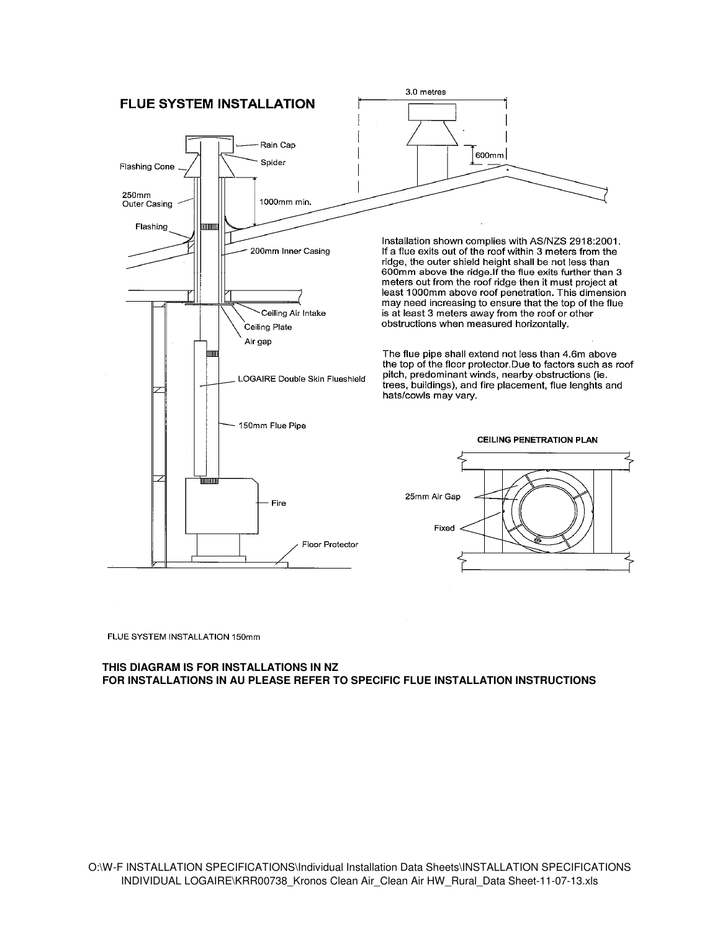

FLUE SYSTEM INSTALLATION 150mm

#### **THIS DIAGRAM IS FOR INSTALLATIONS IN NZ FOR INSTALLATIONS IN AU PLEASE REFER TO SPECIFIC FLUE INSTALLATION INSTRUCTIONS**